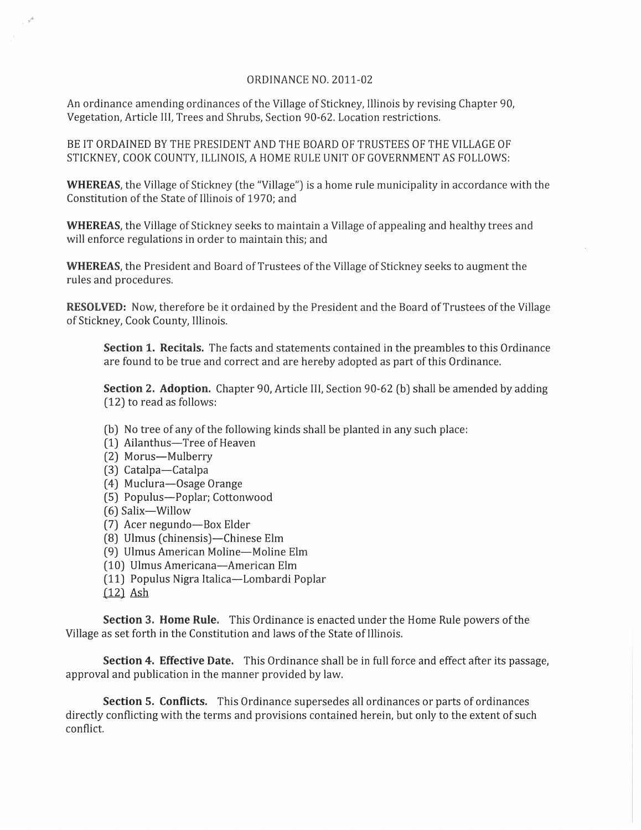## ORDINANCE NO. 2011-02

An ordinance amending ordinances of the Village of Stickney, Illinois by revising Chapter 90, Vegetation, Article III, Trees and Shrubs, Section 90-62. Location restrictions.

BE IT ORDAINED BY THE PRESIDENT AND THE BOARD OF TRUSTEES OF THE VILLAGE OF STICKNEY, COOK COUNTY, ILLINOIS, A HOME RULE UNIT OF GOVERNMENT AS FOLLOWS:

**WHEREAS,** the Village of Stickney (the "Village") is a home rule municipality in accordance with the Constitution of the State of Illinois of 1970; and

**WHEREAS,** the Village of Stickney seeks to maintain a Village of appealing and healthy trees and will enforce regulations in order to maintain this; and

**WHEREAS,** the President and Board of Trustees of the Village of Stickney seeks to augment the rules and procedures.

**RESOLVED:** Now, therefore be it ordained by the President and the Board of Trustees of the Village of Stickney, Cook County, Illinois.

**Section 1. Recitals.** The facts and statements contained in the preambles to this Ordinance are found to be true and correct and are hereby adopted as part of this Ordinance.

**Section 2. Adoption.** Chapter 90, Article III, Section 90-62 (b) shall be amended by adding (12) to read as follows:

- (b) No tree of any of the following kinds shall be planted in any such place:
- (1) Ailanthus-Tree of Heaven
- (2) Morus-Mulberry
- (3) Catalpa-Catalpa
- (4) Muclura-Osage Orange
- (5) Populus-Poplar; Cottonwood
- (6) Salix-Willow
- (7) Acer negundo-Box Elder
- (8) Ulmus (chinensis)-Chinese Elm
- (9) Ulmus American Moline-Moline Elm
- (10) Ulmus Americana-American Elm
- (11) Populus Nigra Italica-Lombardi Poplar
- $(12)$  Ash

*,I'* 

**Section 3. Home Rule.** This Ordinance is enacted under the Home Rule powers of the Village as set forth in the Constitution and laws of the State of Illinois.

**Section 4. Effective Date.** This Ordinance shall be in full force and effect after its passage, approval and publication in the manner provided by law.

**Section 5. Conflicts.** This Ordinance supersedes all ordinances or parts of ordinances directly conflicting with the terms and provisions contained herein, but only to the extent of such conflict.